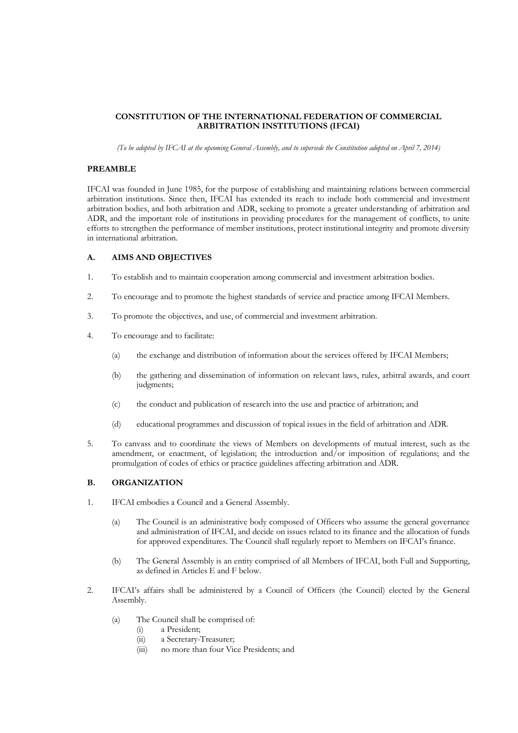# **CONSTITUTION OF THE INTERNATIONAL FEDERATION OF COMMERCIAL ARBITRATION INSTITUTIONS (IFCAI)**

*(To be adopted by IFCAI at the upcoming General Assembly, and to supersede the Constitution adopted on April 7, 2014)*

#### **PREAMBLE**

IFCAI was founded in June 1985, for the purpose of establishing and maintaining relations between commercial arbitration institutions. Since then, IFCAI has extended its reach to include both commercial and investment arbitration bodies, and both arbitration and ADR, seeking to promote a greater understanding of arbitration and ADR, and the important role of institutions in providing procedures for the management of conflicts, to unite efforts to strengthen the performance of member institutions, protect institutional integrity and promote diversity in international arbitration.

### **A. AIMS AND OBJECTIVES**

- 1. To establish and to maintain cooperation among commercial and investment arbitration bodies.
- 2. To encourage and to promote the highest standards of service and practice among IFCAI Members.
- 3. To promote the objectives, and use, of commercial and investment arbitration.
- 4. To encourage and to facilitate:
	- (a) the exchange and distribution of information about the services offered by IFCAI Members;
	- (b) the gathering and dissemination of information on relevant laws, rules, arbitral awards, and court judgments;
	- (c) the conduct and publication of research into the use and practice of arbitration; and
	- (d) educational programmes and discussion of topical issues in the field of arbitration and ADR.
- 5. To canvass and to coordinate the views of Members on developments of mutual interest, such as the amendment, or enactment, of legislation; the introduction and/or imposition of regulations; and the promulgation of codes of ethics or practice guidelines affecting arbitration and ADR.

# **B. ORGANIZATION**

- 1. IFCAI embodies a Council and a General Assembly.
	- (a) The Council is an administrative body composed of Officers who assume the general governance and administration of IFCAI, and decide on issues related to its finance and the allocation of funds for approved expenditures. The Council shall regularly report to Members on IFCAI's finance.
	- (b) The General Assembly is an entity comprised of all Members of IFCAI, both Full and Supporting, as defined in Articles E and F below.
- 2. IFCAI's affairs shall be administered by a Council of Officers (the Council) elected by the General Assembly.
	- (a) The Council shall be comprised of:
		- (i) a President;
		- (ii) a Secretary-Treasurer;
		- (iii) no more than four Vice Presidents; and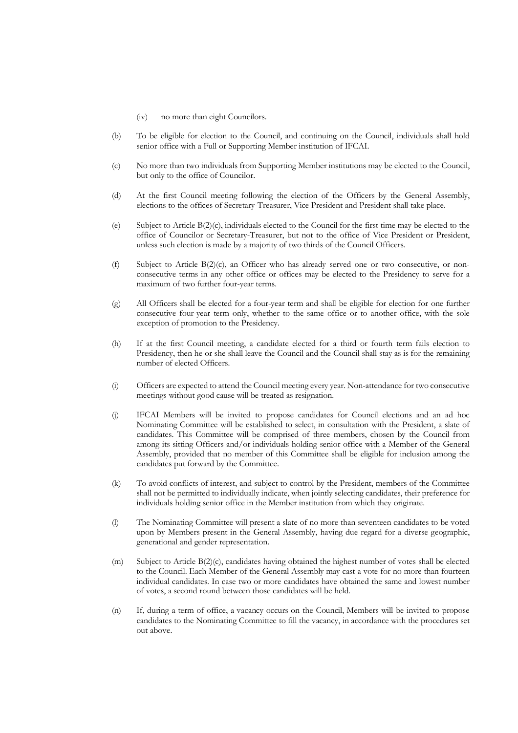- (iv) no more than eight Councilors.
- (b) To be eligible for election to the Council, and continuing on the Council, individuals shall hold senior office with a Full or Supporting Member institution of IFCAI.
- (c) No more than two individuals from Supporting Member institutions may be elected to the Council, but only to the office of Councilor.
- (d) At the first Council meeting following the election of the Officers by the General Assembly, elections to the offices of Secretary-Treasurer, Vice President and President shall take place.
- (e) Subject to Article B(2)(c), individuals elected to the Council for the first time may be elected to the office of Councilor or Secretary-Treasurer, but not to the office of Vice President or President, unless such election is made by a majority of two thirds of the Council Officers.
- (f) Subject to Article  $B(2)(c)$ , an Officer who has already served one or two consecutive, or nonconsecutive terms in any other office or offices may be elected to the Presidency to serve for a maximum of two further four-year terms.
- (g) All Officers shall be elected for a four-year term and shall be eligible for election for one further consecutive four-year term only, whether to the same office or to another office, with the sole exception of promotion to the Presidency.
- (h) If at the first Council meeting, a candidate elected for a third or fourth term fails election to Presidency, then he or she shall leave the Council and the Council shall stay as is for the remaining number of elected Officers.
- (i) Officers are expected to attend the Council meeting every year. Non-attendance for two consecutive meetings without good cause will be treated as resignation.
- (j) IFCAI Members will be invited to propose candidates for Council elections and an ad hoc Nominating Committee will be established to select, in consultation with the President, a slate of candidates. This Committee will be comprised of three members, chosen by the Council from among its sitting Officers and/or individuals holding senior office with a Member of the General Assembly, provided that no member of this Committee shall be eligible for inclusion among the candidates put forward by the Committee.
- (k) To avoid conflicts of interest, and subject to control by the President, members of the Committee shall not be permitted to individually indicate, when jointly selecting candidates, their preference for individuals holding senior office in the Member institution from which they originate.
- (l) The Nominating Committee will present a slate of no more than seventeen candidates to be voted upon by Members present in the General Assembly, having due regard for a diverse geographic, generational and gender representation.
- (m) Subject to Article B(2)(c), candidates having obtained the highest number of votes shall be elected to the Council. Each Member of the General Assembly may cast a vote for no more than fourteen individual candidates. In case two or more candidates have obtained the same and lowest number of votes, a second round between those candidates will be held.
- (n) If, during a term of office, a vacancy occurs on the Council, Members will be invited to propose candidates to the Nominating Committee to fill the vacancy, in accordance with the procedures set out above.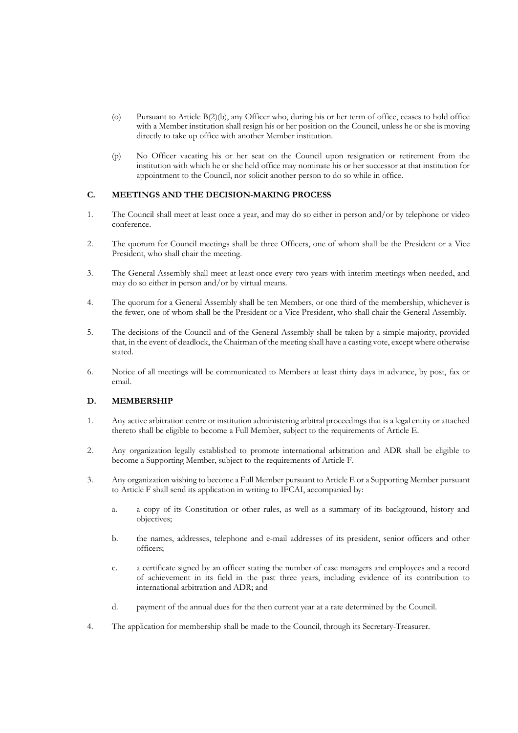- (o) Pursuant to Article B(2)(b), any Officer who, during his or her term of office, ceases to hold office with a Member institution shall resign his or her position on the Council, unless he or she is moving directly to take up office with another Member institution.
- (p) No Officer vacating his or her seat on the Council upon resignation or retirement from the institution with which he or she held office may nominate his or her successor at that institution for appointment to the Council, nor solicit another person to do so while in office.

### **C. MEETINGS AND THE DECISION-MAKING PROCESS**

- 1. The Council shall meet at least once a year, and may do so either in person and/or by telephone or video conference.
- 2. The quorum for Council meetings shall be three Officers, one of whom shall be the President or a Vice President, who shall chair the meeting.
- 3. The General Assembly shall meet at least once every two years with interim meetings when needed, and may do so either in person and/or by virtual means.
- 4. The quorum for a General Assembly shall be ten Members, or one third of the membership, whichever is the fewer, one of whom shall be the President or a Vice President, who shall chair the General Assembly.
- 5. The decisions of the Council and of the General Assembly shall be taken by a simple majority, provided that, in the event of deadlock, the Chairman of the meeting shall have a casting vote, except where otherwise stated.
- 6. Notice of all meetings will be communicated to Members at least thirty days in advance, by post, fax or email.

#### **D. MEMBERSHIP**

- 1. Any active arbitration centre or institution administering arbitral proceedings that is a legal entity or attached thereto shall be eligible to become a Full Member, subject to the requirements of Article E.
- 2. Any organization legally established to promote international arbitration and ADR shall be eligible to become a Supporting Member, subject to the requirements of Article F.
- 3. Any organization wishing to become a Full Member pursuant to Article E or a Supporting Member pursuant to Article F shall send its application in writing to IFCAI, accompanied by:
	- a. a copy of its Constitution or other rules, as well as a summary of its background, history and objectives;
	- b. the names, addresses, telephone and e-mail addresses of its president, senior officers and other officers;
	- c. a certificate signed by an officer stating the number of case managers and employees and a record of achievement in its field in the past three years, including evidence of its contribution to international arbitration and ADR; and
	- d. payment of the annual dues for the then current year at a rate determined by the Council.
- 4. The application for membership shall be made to the Council, through its Secretary-Treasurer.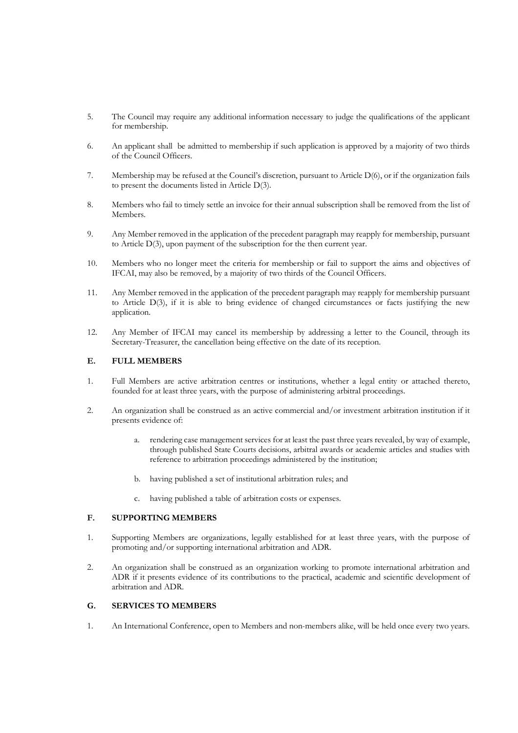- 5. The Council may require any additional information necessary to judge the qualifications of the applicant for membership.
- 6. An applicant shall be admitted to membership if such application is approved by a majority of two thirds of the Council Officers.
- 7. Membership may be refused at the Council's discretion, pursuant to Article D(6), or if the organization fails to present the documents listed in Article D(3).
- 8. Members who fail to timely settle an invoice for their annual subscription shall be removed from the list of Members.
- 9. Any Member removed in the application of the precedent paragraph may reapply for membership, pursuant to Article D(3), upon payment of the subscription for the then current year.
- 10. Members who no longer meet the criteria for membership or fail to support the aims and objectives of IFCAI, may also be removed, by a majority of two thirds of the Council Officers.
- 11. Any Member removed in the application of the precedent paragraph may reapply for membership pursuant to Article D(3), if it is able to bring evidence of changed circumstances or facts justifying the new application.
- 12. Any Member of IFCAI may cancel its membership by addressing a letter to the Council, through its Secretary-Treasurer, the cancellation being effective on the date of its reception.

### **E. FULL MEMBERS**

- 1. Full Members are active arbitration centres or institutions, whether a legal entity or attached thereto, founded for at least three years, with the purpose of administering arbitral proceedings.
- 2. An organization shall be construed as an active commercial and/or investment arbitration institution if it presents evidence of:
	- a. rendering case management services for at least the past three years revealed, by way of example, through published State Courts decisions, arbitral awards or academic articles and studies with reference to arbitration proceedings administered by the institution;
	- b. having published a set of institutional arbitration rules; and
	- c. having published a table of arbitration costs or expenses.

## **F. SUPPORTING MEMBERS**

- 1. Supporting Members are organizations, legally established for at least three years, with the purpose of promoting and/or supporting international arbitration and ADR.
- 2. An organization shall be construed as an organization working to promote international arbitration and ADR if it presents evidence of its contributions to the practical, academic and scientific development of arbitration and ADR.

### **G. SERVICES TO MEMBERS**

1. An International Conference, open to Members and non-members alike, will be held once every two years.